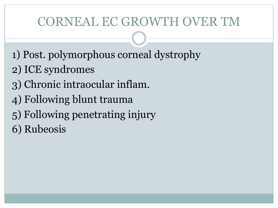# CORNEAL EC GROWTH OVER TM

- 1) Post. polymorphous corneal dystrophy
- 2) ICE syndromes
- 3) Chronic intraocular inflam.
- 4) Following blunt trauma
- 5) Following penetrating injury
- 6) Rubeosis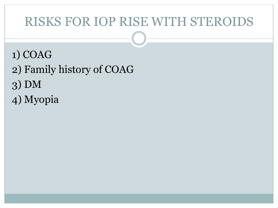## RISKS FOR IOP RISE WITH STEROIDS

- 1) COAG
- 2) Family history of COAG
- 3) DM
- 4) Myopia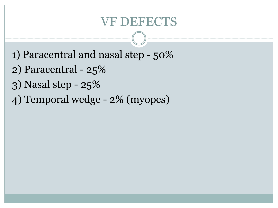### VF DEFECTS

- 1) Paracentral and nasal step 50%
- 2) Paracentral 25%
- 3) Nasal step 25%
- 4) Temporal wedge 2% (myopes)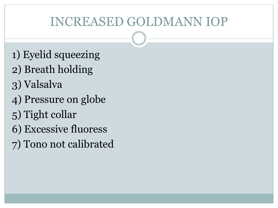# INCREASED GOLDMANN IOP

- 1) Eyelid squeezing
- 2) Breath holding
- 3) Valsalva
- 4) Pressure on globe
- 5) Tight collar
- 6) Excessive fluoress
- 7) Tono not calibrated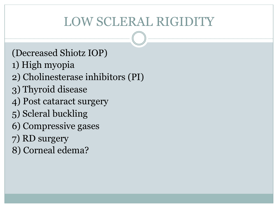# LOW SCLERAL RIGIDITY

- (Decreased Shiotz IOP)
- 1) High myopia
- 2) Cholinesterase inhibitors (PI)
- 3) Thyroid disease
- 4) Post cataract surgery
- 5) Scleral buckling
- 6) Compressive gases
- 7) RD surgery
- 8) Corneal edema?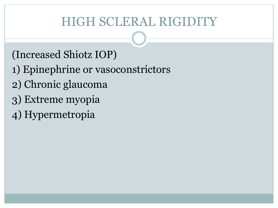# HIGH SCLERAL RIGIDITY

- (Increased Shiotz IOP)
- 1) Epinephrine or vasoconstrictors
- 2) Chronic glaucoma
- 3) Extreme myopia
- 4) Hypermetropia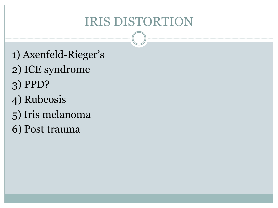# IRIS DISTORTION

- 1) Axenfeld-Rieger's
- 2) ICE syndrome
- 3) PPD?
- 4) Rubeosis
- 5) Iris melanoma
- 6) Post trauma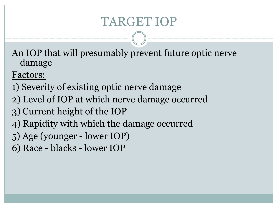# TARGET IOP

An IOP that will presumably prevent future optic nerve damage

Factors:

- 1) Severity of existing optic nerve damage
- 2) Level of IOP at which nerve damage occurred
- 3) Current height of the IOP
- 4) Rapidity with which the damage occurred
- 5) Age (younger lower IOP)
- 6) Race blacks lower IOP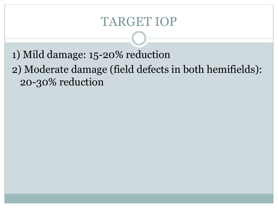### TARGET IOP

1) Mild damage: 15-20% reduction

2) Moderate damage (field defects in both hemifields): 20-30% reduction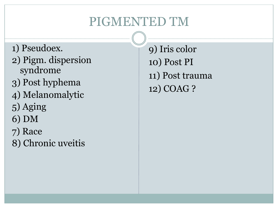# PIGMENTED TM

- 1) Pseudoex.
- 2) Pigm. dispersion syndrome
- 3) Post hyphema
- 4) Melanomalytic
- 5) Aging
- 6) DM
- 7) Race
- 8) Chronic uveitis

9) Iris color 10) Post PI 11) Post trauma 12) COAG ?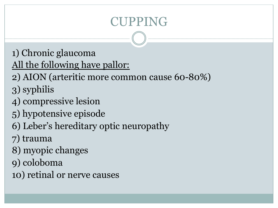# CUPPING

1) Chronic glaucoma

All the following have pallor:

- 2) AION (arteritic more common cause 60-80%)
- 3) syphilis
- 4) compressive lesion
- 5) hypotensive episode
- 6) Leber's hereditary optic neuropathy
- 7) trauma
- 8) myopic changes
- 9) coloboma
- 10) retinal or nerve causes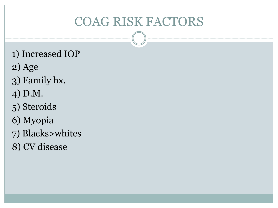# COAG RISK FACTORS

- 1) Increased IOP
- 2) Age
- 3) Family hx.
- 4) D.M.
- 5) Steroids
- 6) Myopia
- 7) Blacks>whites
- 8) CV disease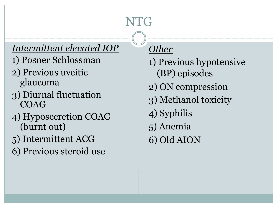# NTG

#### *Intermittent elevated IOP*

- 1) Posner Schlossman
- 2) Previous uveitic glaucoma
- 3) Diurnal fluctuation COAG
- 4) Hyposecretion COAG (burnt out)
- 5) Intermittent ACG
- 6) Previous steroid use

#### *Other*

1) Previous hypotensive (BP) episodes 2) ON compression 3) Methanol toxicity 4) Syphilis 5) Anemia 6) Old AION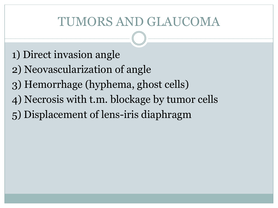# TUMORS AND GLAUCOMA

- 1) Direct invasion angle
- 2) Neovascularization of angle
- 3) Hemorrhage (hyphema, ghost cells)
- 4) Necrosis with t.m. blockage by tumor cells
- 5) Displacement of lens-iris diaphragm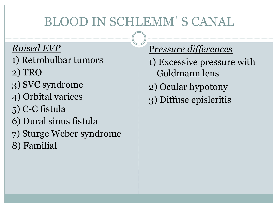# BLOOD IN SCHLEMM'S CANAL

#### *Raised EVP*

- 1) Retrobulbar tumors
- 2) TRO
- 3) SVC syndrome
- 4) Orbital varices
- 5) C-C fistula
- 6) Dural sinus fistula
- 7) Sturge Weber syndrome
- 8) Familial

#### P*ressure differences*

1) Excessive pressure with Goldmann lens 2) Ocular hypotony 3) Diffuse episleritis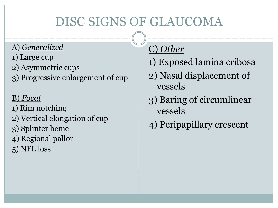# DISC SIGNS OF GLAUCOMA

#### A) *Generalized*

- 1) Large cup
- 2) Asymmetric cups
- 3) Progressive enlargement of cup

#### B) *Focal*

- 1) Rim notching
- 2) Vertical elongation of cup
- 3) Splinter heme
- 4) Regional pallor
- 5) NFL loss

### C) *Other*

- 1) Exposed lamina cribosa
- 2) Nasal displacement of vessels
- 3) Baring of circumlinear vessels
- 4) Peripapillary crescent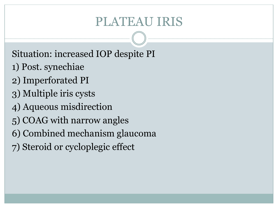## PLATEAU IRIS

Situation: increased IOP despite PI

- 1) Post. synechiae
- 2) Imperforated PI
- 3) Multiple iris cysts
- 4) Aqueous misdirection
- 5) COAG with narrow angles
- 6) Combined mechanism glaucoma
- 7) Steroid or cycloplegic effect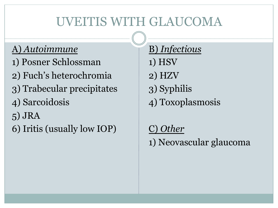# UVEITIS WITH GLAUCOMA

#### A) *Autoimmune*

- 1) Posner Schlossman
- 2) Fuch's heterochromia
- 3) Trabecular precipitates
- 4) Sarcoidosis
- 5) JRA
- 6) Iritis (usually low IOP)

B) *Infectious* 1) HSV 2) HZV 3) Syphilis 4) Toxoplasmosis

C) *Other* 1) Neovascular glaucoma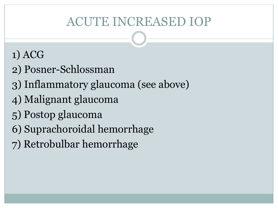# ACUTE INCREASED IOP

### 1) ACG

- 2) Posner-Schlossman
- 3) Inflammatory glaucoma (see above)
- 4) Malignant glaucoma
- 5) Postop glaucoma
- 6) Suprachoroidal hemorrhage
- 7) Retrobulbar hemorrhage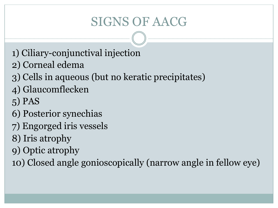# SIGNS OF AACG

- 1) Ciliary-conjunctival injection
- 2) Corneal edema
- 3) Cells in aqueous (but no keratic precipitates)
- 4) Glaucomflecken
- 5) PAS
- 6) Posterior synechias
- 7) Engorged iris vessels
- 8) Iris atrophy
- 9) Optic atrophy
- 10) Closed angle gonioscopically (narrow angle in fellow eye)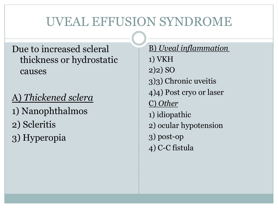# UVEAL EFFUSION SYNDROME

#### Due to increased scleral thickness or hydrostatic causes

#### A) *Thickened sclera*

- 1) Nanophthalmos
- 2) Scleritis
- 3) Hyperopia

B) *Uveal inflammation*  1) VKH 2)2) SO 3)3) Chronic uveitis 4)4) Post cryo or laser C) *Other* 1) idiopathic 2) ocular hypotension 3) post-op 4) C-C fistula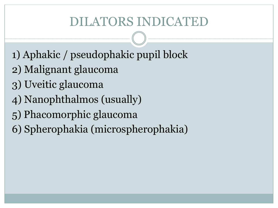# DILATORS INDICATED

- 1) Aphakic / pseudophakic pupil block
- 2) Malignant glaucoma
- 3) Uveitic glaucoma
- 4) Nanophthalmos (usually)
- 5) Phacomorphic glaucoma
- 6) Spherophakia (microspherophakia)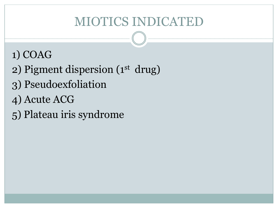# MIOTICS INDICATED

### 1) COAG

- 2) Pigment dispersion (1st drug)
- 3) Pseudoexfoliation
- 4) Acute ACG
- 5) Plateau iris syndrome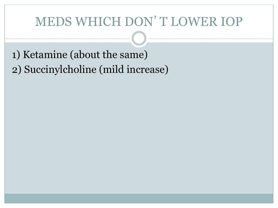# MEDS WHICH DON'T LOWER IOP

1) Ketamine (about the same) 2) Succinylcholine (mild increase)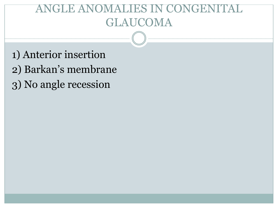### **GLE ANOMALIES IN CONGE** GLAUCOMA

1) Anterior insertion 2) Barkan's membrane 3) No angle recession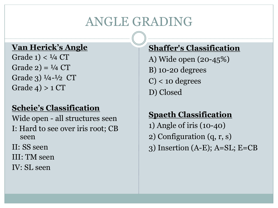# ANGLE GRADING

#### **Van Herick's Angle**

Grade 1)  $< 1/4$  CT Grade  $2$ ) =  $\frac{1}{4}$  CT Grade 3)  $\frac{1}{4} - \frac{1}{2}$  CT Grade  $4$ ) > 1 CT

#### **Scheie's Classification**

Wide open - all structures seen I: Hard to see over iris root; CB seen

II: SS seen

- III: TM seen
- IV: SL seen

#### **Shaffer's Classification**

- A) Wide open (20-45%) B) 10-20 degrees
- $C$  < 10 degrees
- D) Closed

#### **Spaeth Classification**

- 1) Angle of iris (10-40)
- 2) Configuration (q, r, s)
- 3) Insertion (A-E); A=SL; E=CB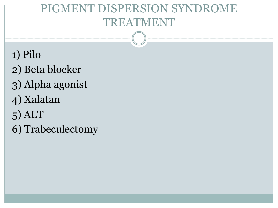### PIGMENT DISPERSION SYNDROME TREATMENT

- 1) Pilo
- 2) Beta blocker
- 3) Alpha agonist
- 4) Xalatan
- 5) ALT
- 6) Trabeculectomy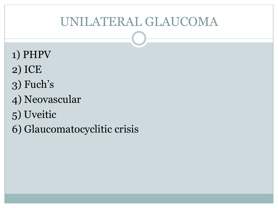# UNILATERAL GLAUCOMA

- 1) PHPV
- 2) ICE
- 3) Fuch's
- 4) Neovascular
- 5) Uveitic
- 6) Glaucomatocyclitic crisis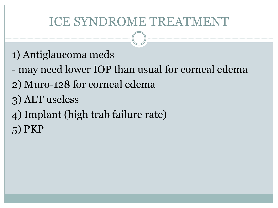# ICE SYNDROME TREATMENT

### 1) Antiglaucoma meds

- may need lower IOP than usual for corneal edema
- 2) Muro-128 for corneal edema
- 3) ALT useless
- 4) Implant (high trab failure rate)
- 5) PKP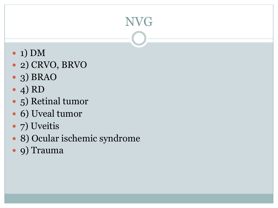# NVG

- 1) DM
- 2) CRVO, BRVO
- 3) BRAO
- $\bullet$  4) RD
- 5) Retinal tumor
- 6) Uveal tumor
- 7) Uveitis
- 8) Ocular ischemic syndrome
- 9) Trauma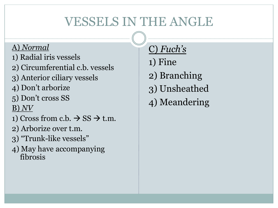# VESSELS IN THE ANGLE

#### A) *Normal*

- 1) Radial iris vessels
- 2) Circumferential c.b. vessels
- 3) Anterior ciliary vessels
- 4) Don't arborize
- 5) Don't cross SS

B) *NV*

- 1) Cross from c.b.  $\rightarrow$  SS  $\rightarrow$  t.m.
- 2) Arborize over t.m.
- 3) "Trunk-like vessels"
- 4) May have accompanying fibrosis

C) *Fuch's*

1) Fine

- 2) Branching
- 3) Unsheathed
- 4) Meandering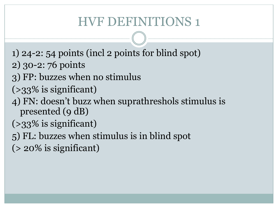# HVF DEFINITIONS 1

- 1) 24-2: 54 points (incl 2 points for blind spot)
- 2) 30-2: 76 points
- 3) FP: buzzes when no stimulus
- $(>33\%$  is significant)
- 4) FN: doesn't buzz when suprathreshols stimulus is presented (9 dB)
- (>33% is significant)
- 5) FL: buzzes when stimulus is in blind spot
- $(> 20\%$  is significant)